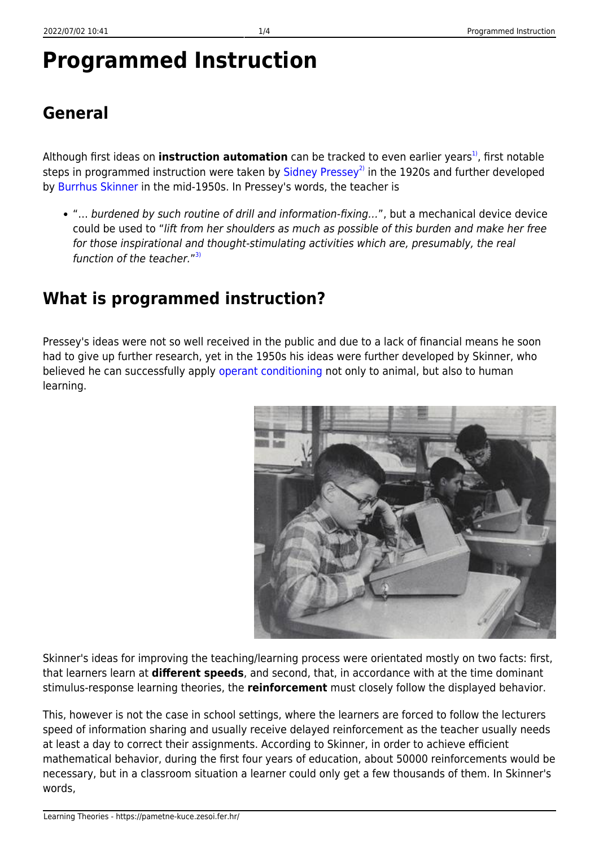# **Programmed Instruction**

# **General**

Although first ideas on **instruction automation** can be tracked to even earlier years<sup>1</sup>, first notable steps in programmed instruction were taken by  $Sidnev$  Pressey<sup>[2\)](#page--1-0)</sup> in the 1920s and further developed by [Burrhus Skinner](http://www.bfskinner.org/BFSkinner/AboutSkinner.html) in the mid-1950s. In Pressey's words, the teacher is

"… burdened by such routine of drill and information-fixing…", but a mechanical device device could be used to "lift from her shoulders as much as possible of this burden and make her free for those inspirational and thought-stimulating activities which are, presumably, the real function of the teacher."<sup>[3\)](#page--1-0)</sup>

## **What is programmed instruction?**

Pressey's ideas were not so well received in the public and due to a lack of financial means he soon had to give up further research, yet in the 1950s his ideas were further developed by Skinner, who believed he can successfully apply [operant conditioning](https://pametne-kuce.zesoi.fer.hr/doku.php?id=learning_theories:operant_conditioning) not only to animal, but also to human learning.



Skinner's ideas for improving the teaching/learning process were orientated mostly on two facts: first, that learners learn at **different speeds**, and second, that, in accordance with at the time dominant stimulus-response learning theories, the **reinforcement** must closely follow the displayed behavior.

This, however is not the case in school settings, where the learners are forced to follow the lecturers speed of information sharing and usually receive delayed reinforcement as the teacher usually needs at least a day to correct their assignments. According to Skinner, in order to achieve efficient mathematical behavior, during the first four years of education, about 50000 reinforcements would be necessary, but in a classroom situation a learner could only get a few thousands of them. In Skinner's words,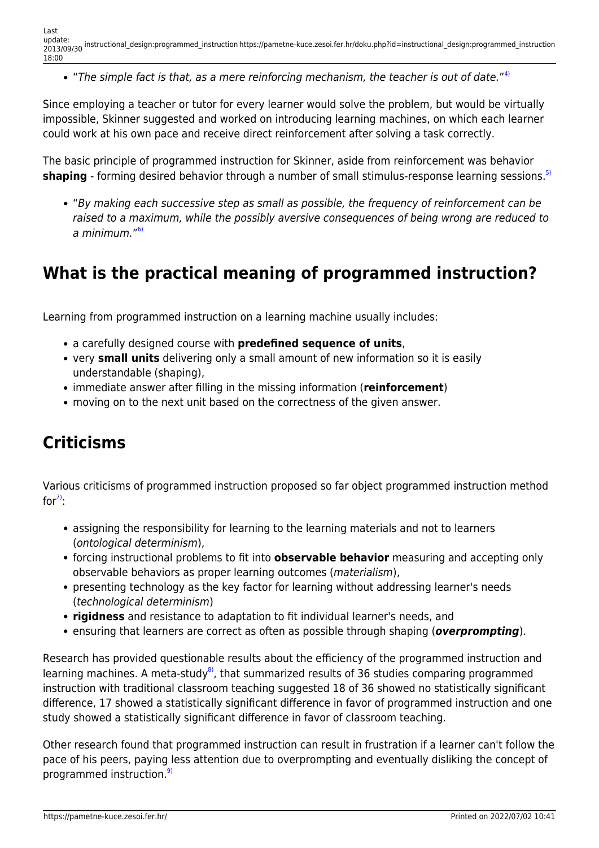"The simple fact is that, as a mere reinforcing mechanism, the teacher is out of date." $4$ 

Since employing a teacher or tutor for every learner would solve the problem, but would be virtually impossible, Skinner suggested and worked on introducing learning machines, on which each learner could work at his own pace and receive direct reinforcement after solving a task correctly.

The basic principle of programmed instruction for Skinner, aside from reinforcement was behavior **shaping** - forming desired behavior through a number of small stimulus-response learning sessions.<sup>[5\)](#page--1-0)</sup>

"By making each successive step as small as possible, the frequency of reinforcement can be raised to a maximum, while the possibly aversive consequences of being wrong are reduced to a minimum."<sup>[6\)](#page--1-0)</sup>

#### **What is the practical meaning of programmed instruction?**

Learning from programmed instruction on a learning machine usually includes:

- a carefully designed course with **predefined sequence of units**,
- very **small units** delivering only a small amount of new information so it is easily understandable (shaping),
- immediate answer after filling in the missing information (**reinforcement**)
- moving on to the next unit based on the correctness of the given answer.

## **Criticisms**

Various criticisms of programmed instruction proposed so far object programmed instruction method for $\overline{7}$ :

- assigning the responsibility for learning to the learning materials and not to learners (ontological determinism),
- forcing instructional problems to fit into **observable behavior** measuring and accepting only observable behaviors as proper learning outcomes (materialism),
- presenting technology as the key factor for learning without addressing learner's needs (technological determinism)
- **rigidness** and resistance to adaptation to fit individual learner's needs, and
- ensuring that learners are correct as often as possible through shaping (*overprompting*).

Research has provided questionable results about the efficiency of the programmed instruction and learning machines. A meta-study<sup>8</sup>, that summarized results of 36 studies comparing programmed instruction with traditional classroom teaching suggested 18 of 36 showed no statistically significant difference, 17 showed a statistically significant difference in favor of programmed instruction and one study showed a statistically significant difference in favor of classroom teaching.

Other research found that programmed instruction can result in frustration if a learner can't follow the pace of his peers, paying less attention due to overprompting and eventually disliking the concept of programmed instruction.<sup>[9\)](#page--1-0)</sup>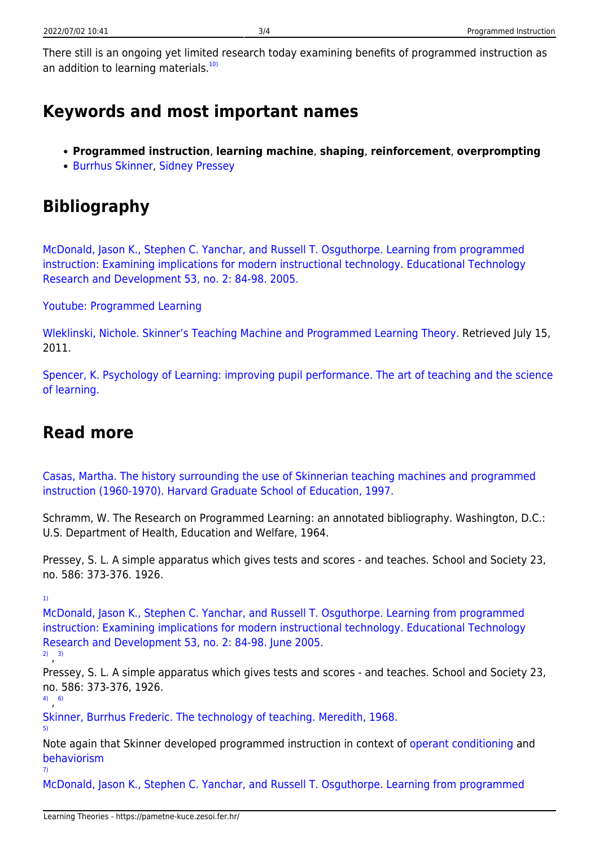There still is an ongoing yet limited research today examining benefits of programmed instruction as an addition to learning materials. $10$ 

#### **Keywords and most important names**

- **Programmed instruction**, **learning machine**, **shaping**, **reinforcement**, **overprompting**
- [Burrhus Skinner](http://www.bfskinner.org/bfskinner/AboutSkinner.html), [Sidney Pressey](http://education.stateuniversity.com/pages/2332/Pressey-Sidney-L-1888-1979.html)

## **Bibliography**

[McDonald, Jason K., Stephen C. Yanchar, and Russell T. Osguthorpe. Learning from programmed](http://www.springerlink.com/content/w8711256732774h7/) [instruction: Examining implications for modern instructional technology. Educational Technology](http://www.springerlink.com/content/w8711256732774h7/) [Research and Development 53, no. 2: 84-98. 2005.](http://www.springerlink.com/content/w8711256732774h7/)

[Youtube: Programmed Learning](http://www.youtube.com/watch?v=EXR9Ft8rzhk&feature=youtube_gdata_player)

[Wleklinski, Nichole. Skinner's Teaching Machine and Programmed Learning Theory.](http://www.isrl.illinois.edu/~chip/projects/timeline/1954teaching_machine.html) Retrieved July 15, 2011.

[Spencer, K. Psychology of Learning: improving pupil performance. The art of teaching and the science](https://hydra.hull.ac.uk/assets/hull:1940/content03) [of learning.](https://hydra.hull.ac.uk/assets/hull:1940/content03)

#### **Read more**

[Casas, Martha. The history surrounding the use of Skinnerian teaching machines and programmed](http://books.google.hr/books?id=bsGlHAAACAAJ) [instruction \(1960-1970\). Harvard Graduate School of Education, 1997.](http://books.google.hr/books?id=bsGlHAAACAAJ)

Schramm, W. The Research on Programmed Learning: an annotated bibliography. Washington, D.C.: U.S. Department of Health, Education and Welfare, 1964.

Pressey, S. L. A simple apparatus which gives tests and scores - and teaches. School and Society 23, no. 586: 373-376. 1926.

[1\)](#page--1-0)

[McDonald, Jason K., Stephen C. Yanchar, and Russell T. Osguthorpe. Learning from programmed](http://www.springerlink.com/content/w8711256732774h7/) [instruction: Examining implications for modern instructional technology. Educational Technology](http://www.springerlink.com/content/w8711256732774h7/) [Research and Development 53, no. 2: 84-98. June 2005.](http://www.springerlink.com/content/w8711256732774h7/)

[2\)](#page--1-0) , [3\)](#page--1-0)

Pressey, S. L. A simple apparatus which gives tests and scores - and teaches. School and Society 23, no. 586: 373-376, 1926.

[4\)](#page--1-0) , [6\)](#page--1-0)

[5\)](#page--1-0)

[Skinner, Burrhus Frederic. The technology of teaching. Meredith, 1968.](http://books.google.com/books?id=5jOdAAAAMAAJ)

Note again that Skinner developed programmed instruction in context of [operant conditioning](https://pametne-kuce.zesoi.fer.hr/doku.php?id=learning_theories:operant_conditioning) and [behaviorism](https://pametne-kuce.zesoi.fer.hr/doku.php?id=learning_paradigms:behaviorism) [7\)](#page--1-0)

[McDonald, Jason K., Stephen C. Yanchar, and Russell T. Osguthorpe. Learning from programmed](http://www.springerlink.com/content/w8711256732774h7/)